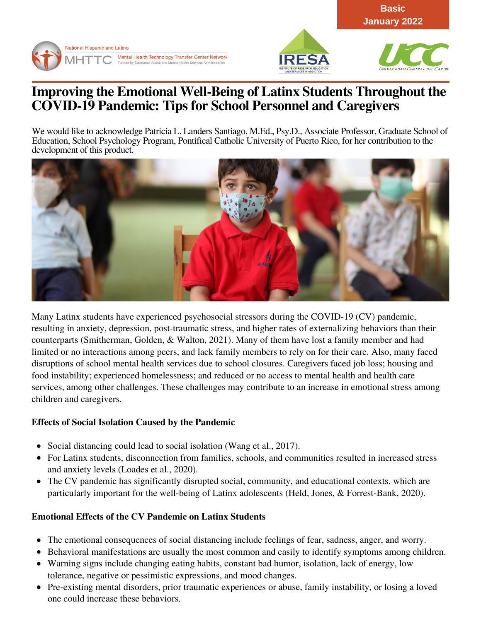





**Basic January 2022**

# **Improving the Emotional Well-Being of Latinx Students Throughout the COVID-19 Pandemic: Tips for School Personnel and Caregivers**

We would like to acknowledge Patricia L. Landers Santiago, M.Ed., Psy.D., Associate Professor, Graduate School of Education, School Psychology Program, Pontifical Catholic University of Puerto Rico, for her contribution to the development of this product.



Many Latinx students have experienced psychosocial stressors during the COVID-19 (CV) pandemic, resulting in anxiety, depression, post-traumatic stress, and higher rates of externalizing behaviors than their counterparts (Smitherman, Golden, & Walton, 2021). Many of them have lost a family member and had limited or no interactions among peers, and lack family members to rely on for their care. Also, many faced disruptions of school mental health services due to school closures. Caregivers faced job loss; housing and food instability; experienced homelessness; and reduced or no access to mental health and health care services, among other challenges. These challenges may contribute to an increase in emotional stress among children and caregivers.

## **Effects of Social Isolation Caused by the Pandemic**

- Social distancing could lead to social isolation (Wang et al., 2017).
- For Latinx students, disconnection from families, schools, and communities resulted in increased stress and anxiety levels (Loades et al., 2020).
- The CV pandemic has significantly disrupted social, community, and educational contexts, which are particularly important for the well-being of Latinx adolescents (Held, Jones, & Forrest-Bank, 2020).

# **Emotional Effects of the CV Pandemic on Latinx Students**

- The emotional consequences of social distancing include feelings of fear, sadness, anger, and worry.
- Behavioral manifestations are usually the most common and easily to identify symptoms among children.
- Warning signs include changing eating habits, constant bad humor, isolation, lack of energy, low tolerance, negative or pessimistic expressions, and mood changes.
- Pre-existing mental disorders, prior traumatic experiences or abuse, family instability, or losing a loved one could increase these behaviors.